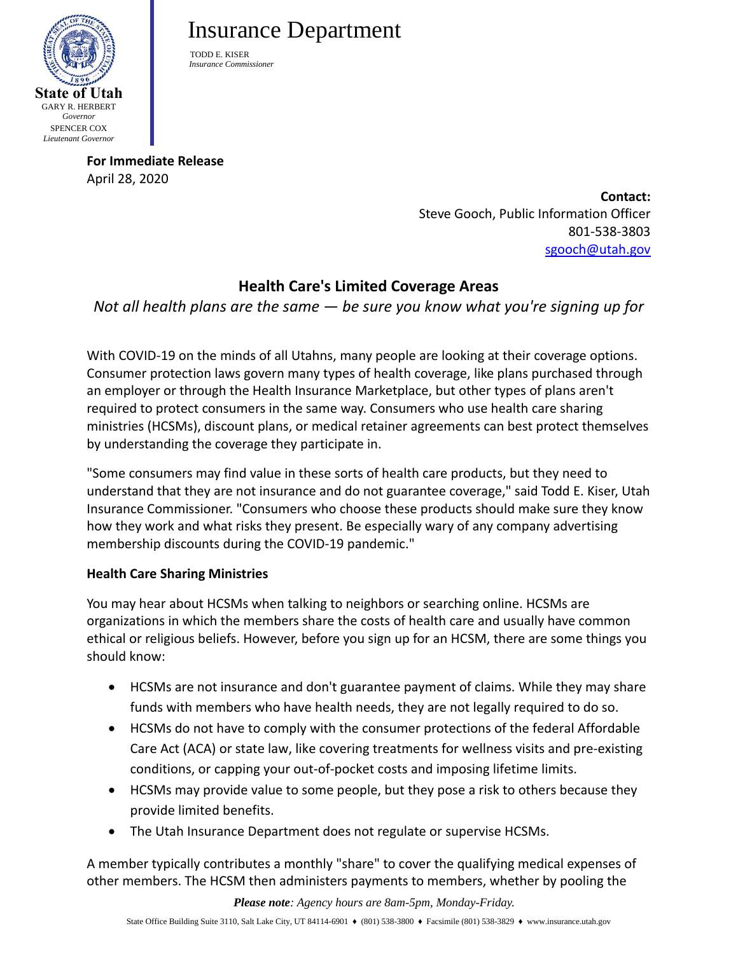

# Insurance Department

TODD E. KISER  *Insurance Commissioner*

**For Immediate Release** April 28, 2020

**Contact:** Steve Gooch, Public Information Officer 801-538-3803 [sgooch@utah.gov](mailto:sgooch@utah.gov)

## **Health Care's Limited Coverage Areas**

*Not all health plans are the same — be sure you know what you're signing up for*

With COVID-19 on the minds of all Utahns, many people are looking at their coverage options. Consumer protection laws govern many types of health coverage, like plans purchased through an employer or through the Health Insurance Marketplace, but other types of plans aren't required to protect consumers in the same way. Consumers who use health care sharing ministries (HCSMs), discount plans, or medical retainer agreements can best protect themselves by understanding the coverage they participate in.

"Some consumers may find value in these sorts of health care products, but they need to understand that they are not insurance and do not guarantee coverage," said Todd E. Kiser, Utah Insurance Commissioner. "Consumers who choose these products should make sure they know how they work and what risks they present. Be especially wary of any company advertising membership discounts during the COVID-19 pandemic."

### **Health Care Sharing Ministries**

You may hear about HCSMs when talking to neighbors or searching online. HCSMs are organizations in which the members share the costs of health care and usually have common ethical or religious beliefs. However, before you sign up for an HCSM, there are some things you should know:

- HCSMs are not insurance and don't guarantee payment of claims. While they may share funds with members who have health needs, they are not legally required to do so.
- HCSMs do not have to comply with the consumer protections of the federal Affordable Care Act (ACA) or state law, like covering treatments for wellness visits and pre-existing conditions, or capping your out-of-pocket costs and imposing lifetime limits.
- HCSMs may provide value to some people, but they pose a risk to others because they provide limited benefits.
- The Utah Insurance Department does not regulate or supervise HCSMs.

A member typically contributes a monthly "share" to cover the qualifying medical expenses of other members. The HCSM then administers payments to members, whether by pooling the